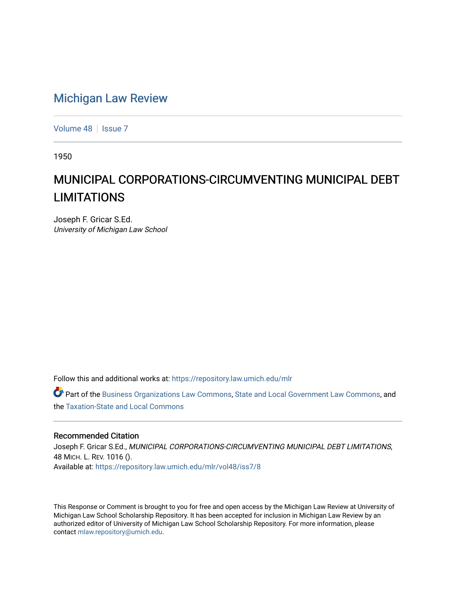## [Michigan Law Review](https://repository.law.umich.edu/mlr)

[Volume 48](https://repository.law.umich.edu/mlr/vol48) | [Issue 7](https://repository.law.umich.edu/mlr/vol48/iss7)

1950

## MUNICIPAL CORPORATIONS-CIRCUMVENTING MUNICIPAL DEBT LIMITATIONS

Joseph F. Gricar S.Ed. University of Michigan Law School

Follow this and additional works at: [https://repository.law.umich.edu/mlr](https://repository.law.umich.edu/mlr?utm_source=repository.law.umich.edu%2Fmlr%2Fvol48%2Fiss7%2F8&utm_medium=PDF&utm_campaign=PDFCoverPages) 

Part of the [Business Organizations Law Commons](http://network.bepress.com/hgg/discipline/900?utm_source=repository.law.umich.edu%2Fmlr%2Fvol48%2Fiss7%2F8&utm_medium=PDF&utm_campaign=PDFCoverPages), [State and Local Government Law Commons,](http://network.bepress.com/hgg/discipline/879?utm_source=repository.law.umich.edu%2Fmlr%2Fvol48%2Fiss7%2F8&utm_medium=PDF&utm_campaign=PDFCoverPages) and the [Taxation-State and Local Commons](http://network.bepress.com/hgg/discipline/882?utm_source=repository.law.umich.edu%2Fmlr%2Fvol48%2Fiss7%2F8&utm_medium=PDF&utm_campaign=PDFCoverPages) 

## Recommended Citation

Joseph F. Gricar S.Ed., MUNICIPAL CORPORATIONS-CIRCUMVENTING MUNICIPAL DEBT LIMITATIONS, 48 MICH. L. REV. 1016 (). Available at: [https://repository.law.umich.edu/mlr/vol48/iss7/8](https://repository.law.umich.edu/mlr/vol48/iss7/8?utm_source=repository.law.umich.edu%2Fmlr%2Fvol48%2Fiss7%2F8&utm_medium=PDF&utm_campaign=PDFCoverPages)

This Response or Comment is brought to you for free and open access by the Michigan Law Review at University of Michigan Law School Scholarship Repository. It has been accepted for inclusion in Michigan Law Review by an authorized editor of University of Michigan Law School Scholarship Repository. For more information, please contact [mlaw.repository@umich.edu](mailto:mlaw.repository@umich.edu).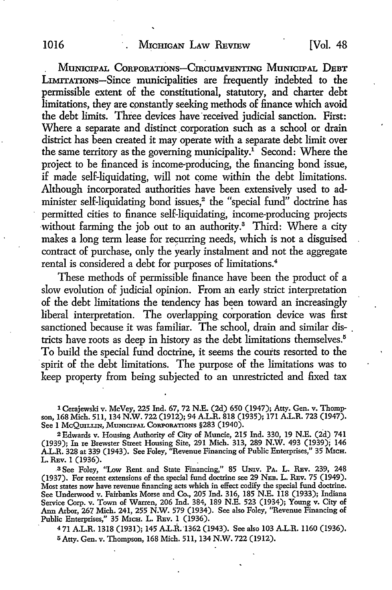MUNICIPAL CORPORATIONS-CIRCUMVENTING MUNICIPAL DEBT LIMITATIONS-Since municipalities are frequently indebted to the permissible extent of the constitutional, statutory, and charter debt limitations, they are constantly seeking methods of finance which avoid the debt limits. Three devices have received judicial sanction. First: Where a separate and distinct corporation such as a school or drain district has been created it may operate with a separate debt limit over the same territory as the governing municipality.<sup>1</sup> Second: Where the project to be financed is income-producing, the financing bond issue, if made self-liquidating, will not come within the debt limitations. Although incorporated authorities have been extensively used to administer self-liquidating bond issues,<sup>2</sup> the "special fund" doctrine has permitted cities to finance self-liquidating, income-producing projects without farming the job out to an authority.<sup>3</sup> Third: Where a city makes a long term lease for recurring needs, which is not a disguised contract of purchase, only the yearly instalment and not the aggregate rental is considered a debt for purposes of limitations.<sup>4</sup>

These methods of permissible finance have been the product of a slow evolution of judicial opinion. From an early strict interpretation of the debt limitations the tendency has been toward an increasingly liberal interpretation. The overlapping corporation device was first sanctioned because it was familiar. The school, drain and similar districts have roots as deep in history as the debt limitations themselves.<sup>5</sup> To build the special fund doctrine, it seems the courts resorted to the spirit of the debt limitations. The purpose of the limitations was to keep property from being subjected to an unrestricted and fixed tax

1 Cerajewski v. Mc Vey, 225 Ind. 67, 72 N.E. (2d) 650 (1947); Atty. Gen. v. Thompson, 168 Mich. 511, 134 N.W. 722 (1912); 94 A.L.R. 818 (1935); 171 A.L.R. 723 (1947). See l McQmLLIN, MuNICIPAL CoRPORATIONS §283 (1940).

2Edwards v. Housing Authority of City of Muncie, 215 Ind. 330, 19 N.E. (2d) 741 (1939); In re Brewster Street Housing Site, 291 Mich. 313, 289 N.W. 493 (1939); 146 A.L.R. 328 at 339 (1943). See Foley, "Revenue Financing of Public Enterprises," 35 Мгсн. L. REv. 1 (1936).

.3 See Foley, "Low Rent. and State Financing," 85 UNiv. PA. L. REv. 239, 248 (1937). For recent extensions of the special fund doctrine see 29 NEB. L. REv. 75 (1949). Most states now have revenue financing acts which in effect codify the special fund doctrine. See Underwood v. Fairbanks Morse and Co., 205 Ind. 316, 185 N.E. 118 (1933); Indiana Service Corp. v. Town of Warren, 206 Ind. 384, 189 N.E. 523 (1934); Young v. City of Ann Arbor, 267 Mich. 241, 255 N.W. 579 (1934). See also Foley, ''Revenue Financing of Public Enterprises," 35 MICH. L. REV. 1 (1936).

<sup>4</sup>71 A.L.R. 1318 (1931); 145 A.L.R. "1362 (1943). See also 103 A.L.R. ll60 (1936). 5 Atty. Gen. v. Thompson, 168 Mich. 511, 134 N.W. 722 (1912).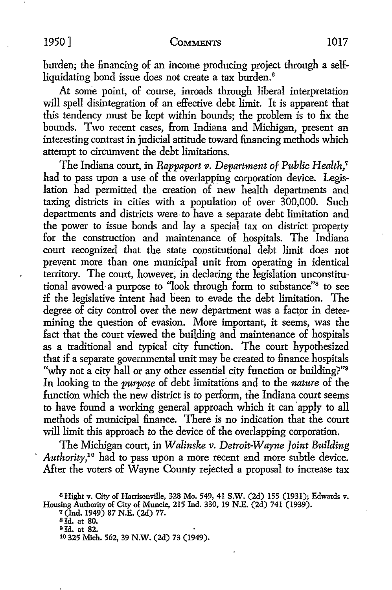burden; the financing of an income producing project through a selfliquidating bond issue does not create a tax burden.<sup>6</sup>

At some point, of course, inroads through liberal interpretation will spell disintegration of an effective debt limit. It is apparent that this tendency must be kept within bounds; the problem is to fix the bounds. Two recent cases, from Indiana and Michigan, present an interesting contrast in judicial attitude toward financing methods which attempt to circumvent the debt limitations.

The Indiana court, in *Rappaport v. Department of Public Health*,<sup>7</sup> had to pass upon a use of the overlapping corporation device. Legislation had permitted the creation of new health departments and taxing districts in cities with a population of over 300,000. Such departments and districts were- to have a separate debt limitation and the power to issue bonds and lay a special tax on district property for the construction and maintenance of hospitals. The Indiana court recognized that the state constitutional debt limit does not prevent more than one municipal unit from operating in identical territory. The court, however; in declaring the legislation unconstitutional avowed· a purpose to "look through form to substance"8 to see if the legislative intent had been to evade the debt limitation. The degree of city control over the new department was a factor in determining the question of evasion. More important, it seems, was the fact that the court viewed the building and maintenance of hospitals as a traditional and typical city function. The court hypothesized that if a separate governmental unit may be created to finance hospitals "why not a city hall or any other essential city function or building?"<sup>9</sup> In looking to the *purpose* of debt limitations and to the *nature* of the function which the new district is to perform, the Indiana court seems to have found a working general approach which it can apply to all methods of municipal finance. There is no indication that the court will limit this approach to the device of the overlapping corporation.

The Michigan court, in *Walinske v. Detroit-Wayne Joint Building Authority,1°* had to pass upon a more recent and more subtle device. After the voters of Wayne County rejected a proposal to increase tax

*1* (Ind. 1949) 87 N.E. (2d) 77.

SJd. at 80.

<sup>9</sup> Id. at 82.

<sup>6</sup>Hight v. City of Harrisonville, 328 Mo. 549, 41 S.W. (2d) 155 (1931); Edwards v. Housing Authority of City of Muncie, 215 Ind. 330, 19 N.E. (2d) 741 (1939).

<sup>10 325</sup> Mich. 562, 39 N.W. (2d) 73 (1949).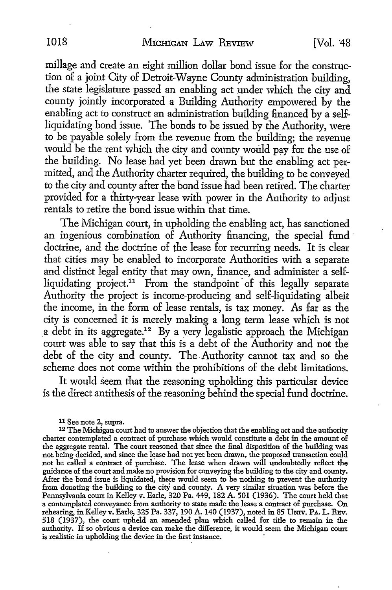millage and create an eight million dollar bond issue for the construction of a joint City of Detroit-Wayne County administration building, the state legislature passed an enabling act under which the city and county jointly incorporated a Building Authority empowered by the enabling act to construct an administration building financed by a selfliquidating bond issue. The bonds to be issued by the Authority, were to be payable solely from the revenue from the building; the revenue would be the rent which the city and county would pay for the use of the building. No lease had yet been drawn but the enabling act permitted, and the Authority charter required, the building to be conveyed to the city and county after the bond issue had been retired. The charter provided for a thirty-year lease with power in the Authority to adjust rentals to retire the bond issue within that time.

The Michigan court, in upholding the enabling act, has sanctioned an ingenious combination of Authority financing, the special fund · doctrine, and the doctrine of the lease for recurring needs. It is clear that cities may be enabled to incorporate Authorities with a separate and distinct legal entity that may own, finance, and administer a selfliquidating project.<sup>11</sup> From the standpoint of this legally separate Authority the project is income-producing and self-liquidating albeit the income, in the form of lease rentals, is tax money. As far as the city is concerned it is merely making a long term lease which is not  $a$  debt in its aggregate.<sup>12</sup> By a very legalistic approach the Michigan court was able to say that this is a debt of the Authority and not the debt of the city and county. The.Authority cannot tax and so the scheme does not come within the prohibitions of the debt limitations.

It would seem that the reasoning upholding this particular device is the direct antithesis of the reasoning behind the special fund doctrine.

<sup>11</sup> See note 2, supra.

<sup>&</sup>lt;sup>12</sup> The Michigan court had to answer the objection that the enabling act and the authority charter contemplated a contract of purchase which would constitute a debt in the amount of the aggregate rental. The court reasoned that since the final disposition of the building was not being decided, and since the lease had not yet been drawn, the proposed transaction could not be called a contract of purchase. The lease when drawn will undoubtedly reflect the guidance of the court and make no provision for conveying the building to the city and county. After the bond issue is liquidated, there would seem to be nothing to prevent the authority from donating the building to the city and county. A very similar situation was before the Pennsylvania court in Kelley v. Earle, 320 Pa. 449, 182 A. 501 (1936). The court held that a contemplated conveyance from authority to state made the lease a contract of purchase. On rehearing, in Kelley v. Earle, 325 Pa. 337, 190 A. 140 (1937), noted in 85 UNIV. PA. L. REV. 518 (1937), the court upheld an amended plan which called for title to remain in the authority. If so obvious a device can make the difference, it would seem the Michigan court is realistic in upholding the device in the first instance.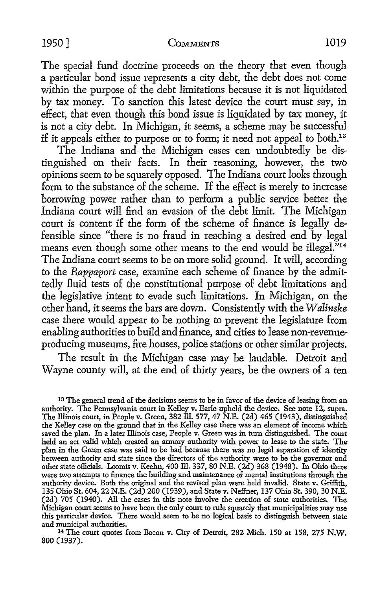## 1950] COMMENTS 1019

The special fund doctrine proceeds on the theory that even though a particular bond issue represents a city debt, the debt does not come within the purpose of the debt limitations because it is not liquidated by tax money. To sanction this latest device the court must say, in effect, that even though this bond issue is liquidated by tax money, it is not a city debt. In Michigan, it seems, a scheme may be successful if it appeals either to purpose or to form; it need not appeal to both.13

The Indiana and the Michigan cases can undoubtedly be distinguished on their facts. In their reasoning, however, the two opinions seem to be squarely opposed. The Indiana court looks through form to the substance of the scheme. If the effect is merely to increase borrowing power rather than to perform a public service better the Indiana court will find an evasion of the debt limit. The Michigan court is content if the form of the scheme of finance is legally defensible since "there is no fraud in reaching a desired end by legal means even though some other means to the end would be illegal."14 The Indiana court seems to be on more solid ground. It will, according to the *Rappaport* case, examine each scheme of finance by the admittedly Huid tests of the constitutiomd purpose of debt limitations and the legislative intent to evade such limitations. In Michigan, on the other hand, it seems the bars are down. Consistently with the *W alinske*  case there would appear to be nothing to prevent the legislature from enabling authorities to build and finance, and cities to lease non-revenueproducing museums, fire houses, police stations or other similar projects.

The result in the Michigan case may be laudable. Detroit and Wayne county will, at the end of thirty years, be the owners of a ten

13 The general trend of the decisions seems to be in favor of the device of leasing from an authority. The Pennsylvania court in Kelley v. Earle upheld the device. See note 12, supra. The Illinois court, in People v. Green, 382 ill. 577, 47 N.E. (2d) 465 (1943), distinguished the Kelley case on the ground that in the Kelley case there was an element of income which saved the plan. In a later Illinois case, People v. Green was in turn distinguished. The court held an act valid which created an armocy authority with power to lease to the state. The plan in the Green case was said to be bad because there was no legal separation of identity between authority and state since the directors of the authority were to be the governor and other state officials. Loomis v. Keehn, 400 ill. 337, 80 N.E. (2d) 368 (1948). In Ohio there were two attempts to finance the building and maintenance of mental institutions through the authority device. Both the original and the revised plan were held invalid. State v. Griffith, 135 Ohio St. 604, 22 N.E. (2d) 200 (1939), and State v. Neffner, 137 Ohio St. 390, 30 N.E. (2d) 705 (1940). All the cases in this note involve the creation of state authorities. The Michigan court seems to have been the only court to rule squarely that municipalities may use this particular device. There would seem to be no logical basis to distinguish between state

<sup>14</sup> The court quotes from Bacon v. City of Detroit, 282 Mich. 150 at 158, 275 N.W. 800 (1937).